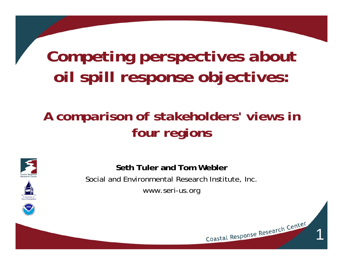# *Competing perspectives about oil spill response objectives:*

#### *A comparison of stakeholders' views in four regions*





**Seth Tuler and Tom Webler**Social and Environmental Research Institute, Inc. www.seri-us.org

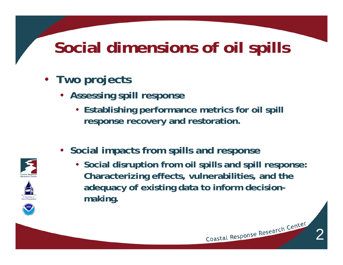# **Social dimensions of oil spills**

- **Two projects**
	- **Assessing spill response**
		- **Establishing performance metrics for oil spill response recovery and restoration.**
	- **Social impacts from spills and response**
		- **Social disruption from oil spills and spill response: Characterizing effects, vulnerabilities, and the adequacy of existing data to inform decisionmaking.**

2

Coastal Response Research Center





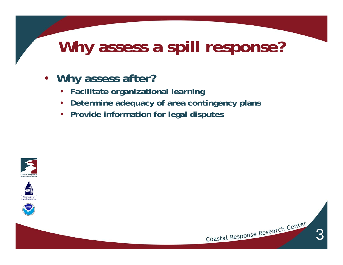# **Why assess a spill response?**

- **Why assess after?**
	- **Facilitate organizational learning**
	- **Determine adequacy of area contingency plans**
	- **Provide information for legal disputes**







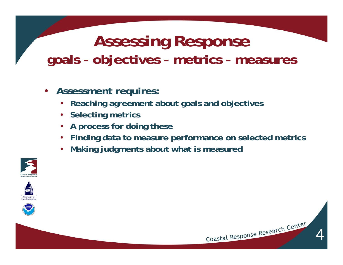### **Assessing Response goals - objectives - metrics - measures**

- **Assessment requires:**
	- **Reaching agreement about goals and objectives**
	- **Selecting metrics**
	- **A process for doing these**
	- **Finding data to measure performance on selected metrics**
	- •**Making judgments about what is measured**







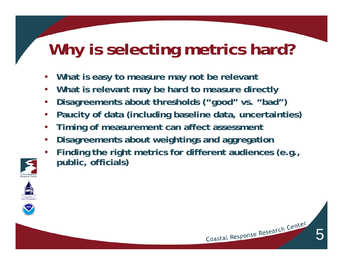# **Why is selecting metrics hard?**

- •**What is easy to measure may not be relevant**
- •**What is relevant may be hard to measure directly**
- •**Disagreements about thresholds ("good" vs. "bad")**
- •**Paucity of data (including baseline data, uncertainties)**
- •**Timing of measurement can affect assessment**
- •**Disagreements about weightings and aggregation**
- • **Finding the right metrics for different audiences (e.g., public, officials)**







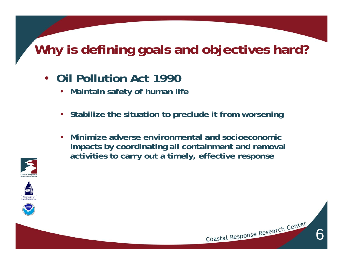### **Why is defining goals and objectives hard?**

- **Oil Pollution Act 1990**
	- $\bullet$ **Maintain safety of human life**
	- **Stabilize the situation to preclude it from worsening**
	- **Minimize adverse environmental and socioeconomic impacts by coordinating all containment and removal activities to carry out a timely, effective response**







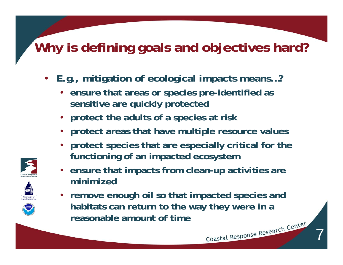#### **Why is defining goals and objectives hard?**

- • **E.g., mitigation of ecological impacts means…?**
	- **ensure that areas or species pre-identified as sensitive are quickly protected**
	- **protect the adults of a species at risk**
	- **protect areas that have multiple resource values**
	- **protect species that are especially critical for the functioning of an impacted ecosystem**
	- **ensure that impacts from clean-up activities are minimized**
	- **remove enough oil so that impacted species and habitats can return to the way they were in a reasonable amount of time**Coastal Response Research Center



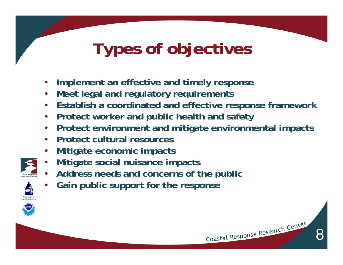# **Types of objectives**

- •**Implement an effective and timely response**
- •**Meet legal and regulatory requirements**
- •**Establish a coordinated and effective response framework**
- •**Protect worker and public health and safety**
- •**Protect environment and mitigate environmental impacts**
- •**Protect cultural resources**
- •**Mitigate economic impacts**
- •**Mitigate social nuisance impacts**
- •**Address needs and concerns of the public**
- •**Gain public support for the response**

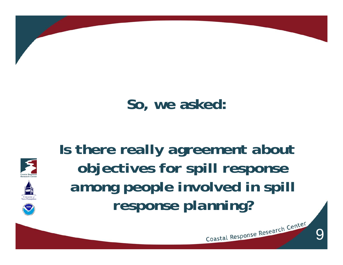

## **So, we asked:**







9

Coastal Response Research Center

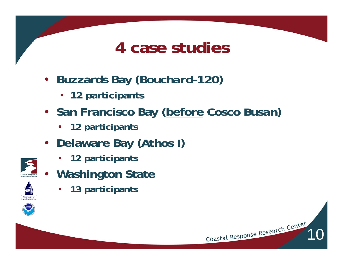## **4 case studies**

- **Buzzards Bay (***Bouchard-120* **)**
	- **12 participants**
- **San Francisco Bay (before** *Cosco Busan* **)**
	- •**12 participants**
- **Delaware Bay (***Athos I* **)**
	- **12 participants**
- $\bullet$  **Washington State**
	- •**13 participants**

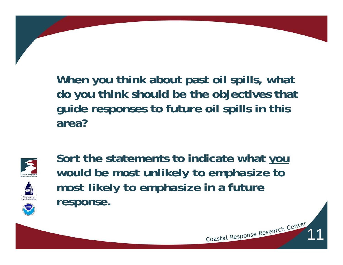**When you think about past oil spills, what do you think should be the objectives that guide responses to future oil spills in this area?** 



**Sort the statements to indicate what you would be** *most unlikely to emphasize* **to**  *most likely to emphasize* **in a future response.**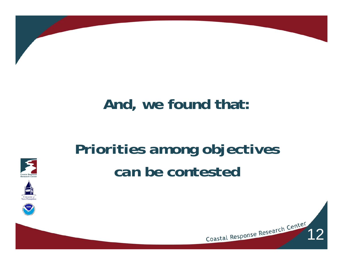

### **And, we found that:**

# *Priorities among objectives can be contested*







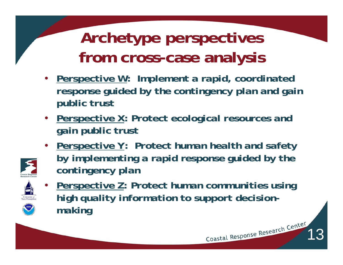# **Archetype perspectives from cross-case analysis**

- • *Perspective W: Implement a rapid, coordinated response guided by the contingency plan and gain public trust*
- *Perspective X: Protect ecological resources and gain public trust*
- *Perspective Y: Protect human health and safety by implementing a rapid response guided by the contingency plan*



 $\bullet$  *Perspective Z: Protect human communities using high quality information to support decisionmaking*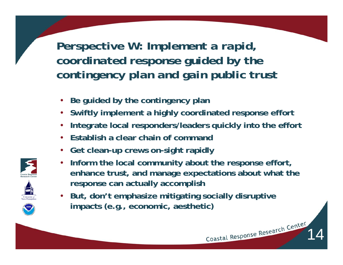*Perspective W: Implement a rapid, coordinated response guided by the contingency plan and gain public trust*

- **Be guided by the contingency plan**
- **Swiftly implement a highly coordinated response effort**
- •**Integrate local responders/leaders quickly into the effort**
- •**Establish a clear chain of command**
- **Get clean-up crews on-sight rapidly**
- • **Inform the local community about the response effort, enhance trust, and manage expectations about what the response can actually accomplish**

14

• **But, don't emphasize mitigating socially disruptive impacts (e.g., economic, aesthetic)**



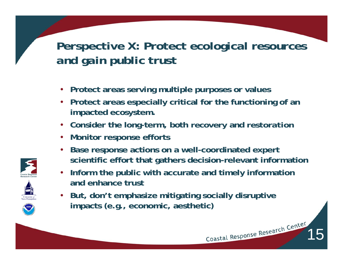#### *Perspective X: Protect ecological resources and gain public trust*

- **Protect areas serving multiple purposes or values**
- **Protect areas especially critical for the functioning of an impacted ecosystem.**
- **Consider the long-term, both** *recovery* **and** *restoration*
- **Monitor response efforts**
- • **Base response actions on a well-coordinated expert scientific effort that gathers decision-relevant information**

- • **Inform the public with accurate and timely information and enhance trust**
- **But, don't emphasize mitigating socially disruptive impacts (e.g., economic, aesthetic)**





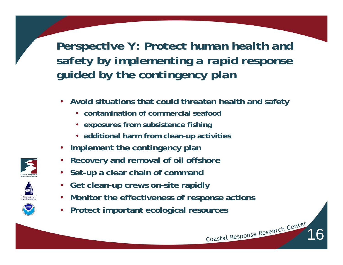*Perspective Y: Protect human health and safety by implementing a rapid response guided by the contingency plan*

- • **Avoid situations that could threaten health and safety**
	- **contamination of commercial seafood**
	- **exposures from subsistence fishing**
	- **additional harm from clean-up activities**
- •**Implement the contingency plan**
- •**Recovery and removal of oil offshore**
- **Set-up a clear chain of command**
- •**Get clean-up crews on-site rapidly**
- **Monitor the effectiveness of response actions**

16

•**Protect important ecological resources** 



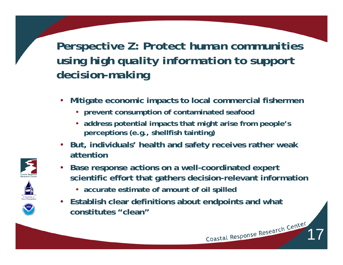*Perspective Z: Protect human communities using high quality information to support decision-making*

- • **Mitigate economic impacts to local commercial fishermen** 
	- **prevent consumption of contaminated seafood**
	- **address potential impacts that might arise from people's perceptions (e.g., shellfish tainting)**
- **But, individuals' health and safety receives rather weak attention**
- • **Base response actions on a well-coordinated expert scientific effort that gathers decision-relevant information**

- **accurate estimate of amount of oil spilled**
- **Establish clear definitions about endpoints and what constitutes "clean"**





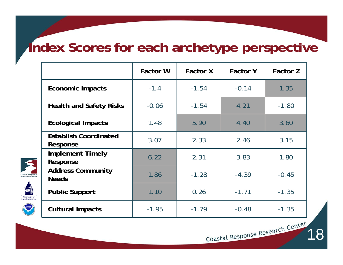#### **Index Scores for each archetype perspective**

|                                          | <b>Factor W</b> | <b>Factor X</b> | <b>Factor Y</b> | <b>Factor Z</b> |
|------------------------------------------|-----------------|-----------------|-----------------|-----------------|
| <b>Economic Impacts</b>                  | $-1.4$          | $-1.54$         | $-0.14$         | 1.35            |
| <b>Health and Safety Risks</b>           | $-0.06$         | $-1.54$         | 4.21            | $-1.80$         |
| <b>Ecological Impacts</b>                | 1.48            | 5.90            | 4.40            | 3.60            |
| <b>Establish Coordinated</b><br>Response | 3.07            | 2.33            | 2.46            | 3.15            |
| <b>Implement Timely</b><br>Response      | 6.22            | 2.31            | 3.83            | 1.80            |
| <b>Address Community</b><br><b>Needs</b> | 1.86            | $-1.28$         | $-4.39$         | $-0.45$         |
| <b>Public Support</b>                    | 1.10            | 0.26            | $-1.71$         | $-1.35$         |
| <b>Cultural Impacts</b>                  | $-1.95$         | $-1.79$         | $-0.48$         | $-1.35$         |

University<br>New Hamp

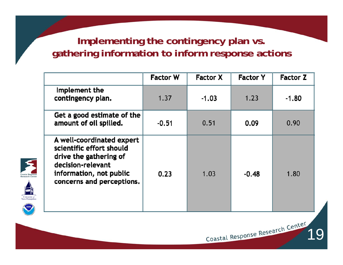#### **Implementing the contingency plan vs. gathering information to inform response actions**

|                                                                                                                                                              | <b>Factor W</b> | <b>Factor X</b> | <b>Factor Y</b> | <b>Factor Z</b> |
|--------------------------------------------------------------------------------------------------------------------------------------------------------------|-----------------|-----------------|-----------------|-----------------|
| Implement the<br>contingency plan.                                                                                                                           | 1.37            | $-1.03$         | 1.23            | $-1.80$         |
| Get a good estimate of the<br>amount of oil spilled.                                                                                                         | $-0.51$         | 0.51            | 0.09            | 0.90            |
| A well-coordinated expert<br>scientific effort should<br>drive the gathering of<br>decision-relevant<br>information, not public<br>concerns and perceptions. | 0.23            | 1.03            | $-0.48$         | 1.80            |

Coastal Response Research Center



University<br>New Hamp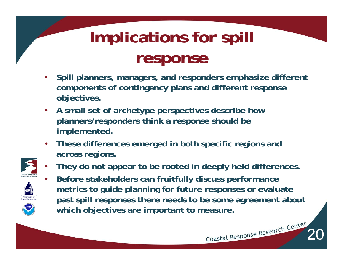# **Implications for spill response**

- • **Spill planners, managers, and responders emphasize different components of contingency plans and different response objectives.**
- • **A small set of archetype perspectives describe how planners/responders think a response should be implemented.**
- • **These differences emerged in both specific regions and across regions.**



•

- •**They do not appear to be rooted in deeply held differences.**
- **Before stakeholders can fruitfully discuss performance metrics to guide planning for future responses or evaluate past spill responses there needs to be some agreement about which objectives are important to measure.**

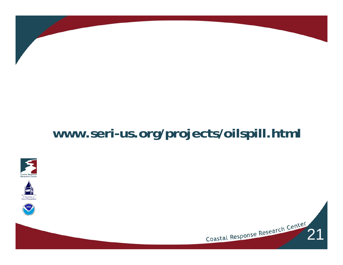#### **www.seri-us.org/projects/oilspill.html**